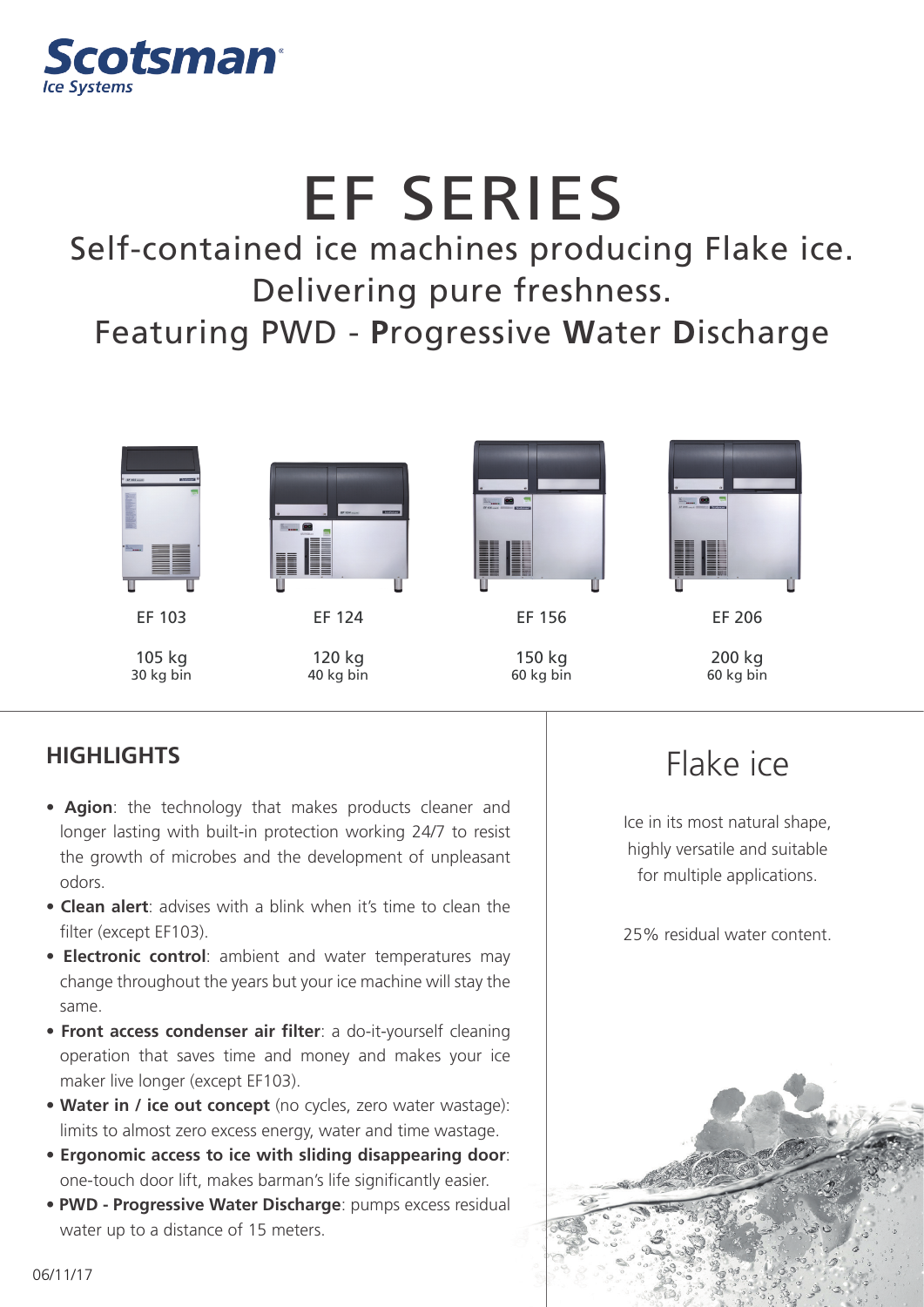

## EF SERIES

Self-contained ice machines producing Flake ice. Delivering pure freshness.

Featuring PWD - **P**rogressive **W**ater **D**ischarge



60 kg bin

30 kg bin

## **HIGHLIGHTS**

• **Agion**: the technology that makes products cleaner and longer lasting with built-in protection working 24/7 to resist the growth of microbes and the development of unpleasant odors.

40 kg bin

- **Clean alert**: advises with a blink when it's time to clean the filter (except EF103).
- **Electronic control**: ambient and water temperatures may change throughout the years but your ice machine will stay the same.
- **Front access condenser air filter**: a do-it-yourself cleaning operation that saves time and money and makes your ice maker live longer (except EF103).
- **Water in / ice out concept** (no cycles, zero water wastage): limits to almost zero excess energy, water and time wastage.
- **Ergonomic access to ice with sliding disappearing door**: one-touch door lift, makes barman's life significantly easier.
- **PWD Progressive Water Discharge**: pumps excess residual water up to a distance of 15 meters.

## Flake ice

60 kg bin

Ice in its most natural shape, highly versatile and suitable for multiple applications.

25% residual water content.